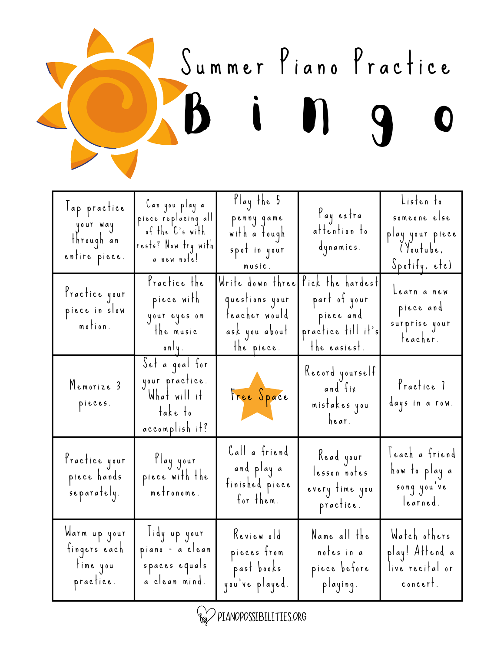

| lap practice<br>your way<br>through an<br>entire piece. | Can you play a<br>piece replacing all<br>of the C's with<br>rests? Now try with<br>a new note! | Ylay the 5<br>penny game<br>with a tough<br>spot in your<br>music.                | l'ay extra<br>attention to<br>dynamics.                                             | Listen to<br>someone else<br>play your piece<br>Youtube,<br>Spotify, etc) |
|---------------------------------------------------------|------------------------------------------------------------------------------------------------|-----------------------------------------------------------------------------------|-------------------------------------------------------------------------------------|---------------------------------------------------------------------------|
| Practice your<br>piece in slow<br>motion.               | Practice the<br>piece with<br>your eyes on<br>the music<br>only.                               | Write down thre<br>questions your<br>teacher would<br>ask you about<br>the piece. | Pick the hardest<br>part of your<br>piece and<br>practice till it's<br>the easiest. | Learn a new<br>piece and<br>surprise your<br>teacher.                     |
| Memorize 3<br>pieces.                                   | Set a goal for<br>your practice.<br>What will it<br>take to<br>accomplish it?                  | Free Space                                                                        | Record yourself<br>and fix<br>mistakes you<br>hear.                                 | Practice 1<br>days in a row.                                              |
| Practice your<br>piece hands<br>separately.             | Play your<br>piece with the<br>metronome.                                                      | Call a friend<br>and play a<br>finished piece<br>for them.                        | Kead your<br>lesson notes<br>every time you<br>practice.                            | leach a friend<br>how to play a<br>song you've<br>learned.                |
| Warm up your<br>fingers each<br>time you<br>practice.   | lidy up your<br>piano – a clean<br>spaces equals<br>a clean mind.                              | Keview old<br>pieces from<br>past books<br>you've played.                         | Name all the<br>notes in a<br>piece before<br>playing.                              | Watch others<br>play! Attend a<br>live recital or<br>concert.             |

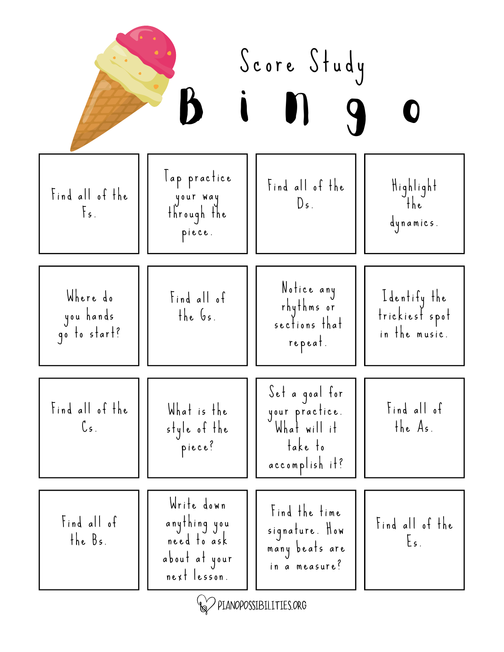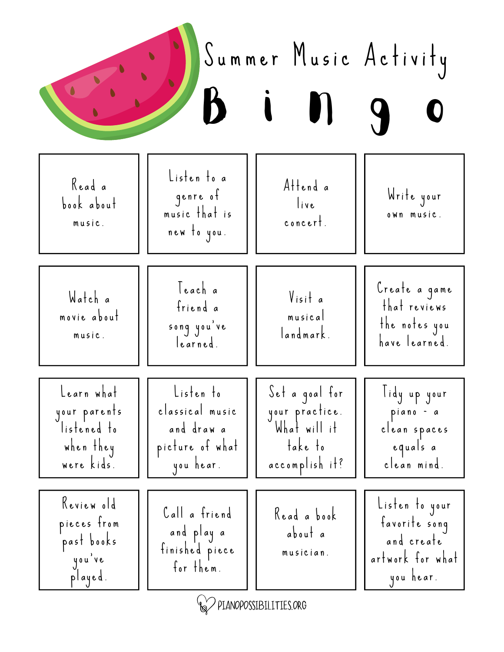